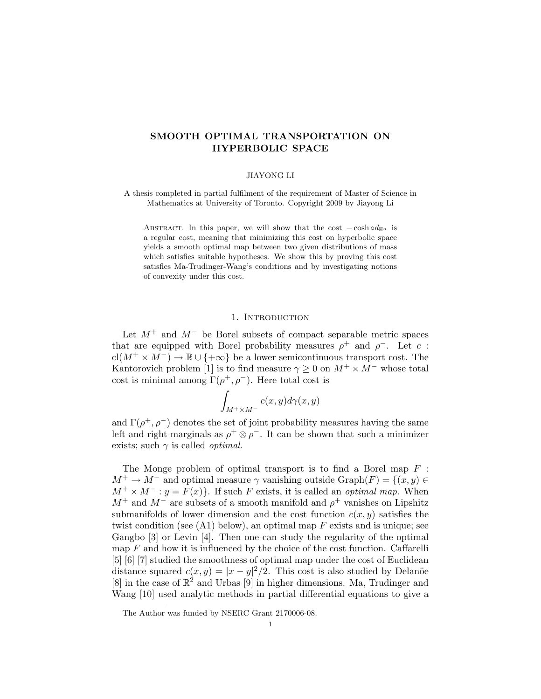# SMOOTH OPTIMAL TRANSPORTATION ON HYPERBOLIC SPACE

## JIAYONG LI

A thesis completed in partial fulfilment of the requirement of Master of Science in Mathematics at University of Toronto. Copyright 2009 by Jiayong Li

ABSTRACT. In this paper, we will show that the cost  $-\cosh \circ d_{\mathbb{H}^n}$  is a regular cost, meaning that minimizing this cost on hyperbolic space yields a smooth optimal map between two given distributions of mass which satisfies suitable hypotheses. We show this by proving this cost satisfies Ma-Trudinger-Wang's conditions and by investigating notions of convexity under this cost.

# 1. INTRODUCTION

Let  $M^+$  and  $M^-$  be Borel subsets of compact separable metric spaces that are equipped with Borel probability measures  $\rho^+$  and  $\rho^-$ . Let c:  $\text{cl}(M^+\times M^-)\to \mathbb{R}\cup\{+\infty\}$  be a lower semicontinuous transport cost. The Kantorovich problem [1] is to find measure  $\gamma \geq 0$  on  $M^{+} \times M^{-}$  whose total cost is minimal among  $\Gamma(\rho^+, \rho^-)$ . Here total cost is

$$
\int_{M^+\times M^-} c(x,y) d\gamma(x,y)
$$

and  $\Gamma(\rho^+, \rho^-)$  denotes the set of joint probability measures having the same left and right marginals as  $\rho^+ \otimes \rho^-$ . It can be shown that such a minimizer exists; such  $\gamma$  is called *optimal*.

The Monge problem of optimal transport is to find a Borel map  $F$ :  $M^+ \to M^-$  and optimal measure  $\gamma$  vanishing outside Graph $(F) = \{(x, y) \in$  $M^+ \times M^- : y = F(x)$ . If such F exists, it is called an *optimal map*. When  $M^+$  and  $M^-$  are subsets of a smooth manifold and  $\rho^+$  vanishes on Lipshitz submanifolds of lower dimension and the cost function  $c(x, y)$  satisfies the twist condition (see  $(A1)$  below), an optimal map F exists and is unique; see Gangbo [3] or Levin [4]. Then one can study the regularity of the optimal map  $F$  and how it is influenced by the choice of the cost function. Caffarelli [5] [6] [7] studied the smoothness of optimal map under the cost of Euclidean distance squared  $c(x, y) = |x - y|^2/2$ . This cost is also studied by Delanöe  $[8]$  in the case of  $\mathbb{R}^2$  and Urbas  $[9]$  in higher dimensions. Ma, Trudinger and Wang [10] used analytic methods in partial differential equations to give a

The Author was funded by NSERC Grant 2170006-08.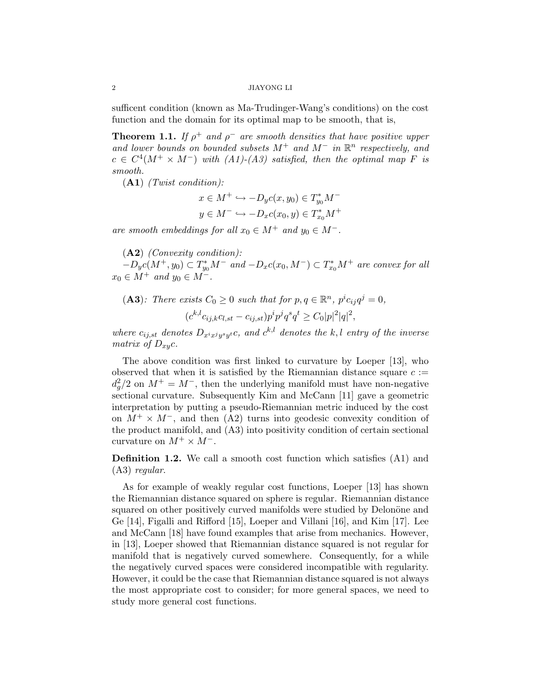#### 2 JIAYONG LI

sufficent condition (known as Ma-Trudinger-Wang's conditions) on the cost function and the domain for its optimal map to be smooth, that is,

**Theorem 1.1.** If  $\rho^+$  and  $\rho^-$  are smooth densities that have positive upper and lower bounds on bounded subsets  $M^+$  and  $M^-$  in  $\mathbb{R}^n$  respectively, and  $c \in C^4(M^+ \times M^-)$  with  $(A1)-(A3)$  satisfied, then the optimal map F is smooth.

 $(A1)$  (Twist condition):

$$
x \in M^+ \hookrightarrow -D_y c(x, y_0) \in T_{y_0}^* M^-
$$

$$
y \in M^- \hookrightarrow -D_x c(x_0, y) \in T_{x_0}^* M^+
$$

are smooth embeddings for all  $x_0 \in M^+$  and  $y_0 \in M^-$ .

 $(A2)$  *(Convexity condition)*:

 $-D_yc(M^+, y_0) \subset T_{y_0}^*M^-$  and  $-D_xc(x_0, M^-) \subset T_{x_0}^*M^+$  are convex for all  $x_0 \in M^+$  and  $y_0 \in M^-$ .

(A3): There exists 
$$
C_0 \ge 0
$$
 such that for  $p, q \in \mathbb{R}^n$ ,  $p^i c_{ij} q^j = 0$ ,  

$$
(c^{k,l} c_{ij,k} c_{l,st} - c_{ij,st}) p^i p^j q^s q^t \ge C_0 |p|^2 |q|^2,
$$

where  $c_{ij,st}$  denotes  $D_{x^ix^jy^sy^t}c$ , and  $c^{k,l}$  denotes the k,l entry of the inverse matrix of  $D_{xy}c$ .

The above condition was first linked to curvature by Loeper [13], who observed that when it is satisfied by the Riemannian distance square  $c :=$  $d_g^2/2$  on  $M^+ = M^-$ , then the underlying manifold must have non-negative sectional curvature. Subsequently Kim and McCann [11] gave a geometric interpretation by putting a pseudo-Riemannian metric induced by the cost on  $M^+ \times M^-$ , and then (A2) turns into geodesic convexity condition of the product manifold, and (A3) into positivity condition of certain sectional curvature on  $M^+ \times M^-$ .

Definition 1.2. We call a smooth cost function which satisfies (A1) and (A3) regular.

As for example of weakly regular cost functions, Loeper [13] has shown the Riemannian distance squared on sphere is regular. Riemannian distance squared on other positively curved manifolds were studied by Delonöne and Ge [14], Figalli and Rifford [15], Loeper and Villani [16], and Kim [17]. Lee and McCann [18] have found examples that arise from mechanics. However, in [13], Loeper showed that Riemannian distance squared is not regular for manifold that is negatively curved somewhere. Consequently, for a while the negatively curved spaces were considered incompatible with regularity. However, it could be the case that Riemannian distance squared is not always the most appropriate cost to consider; for more general spaces, we need to study more general cost functions.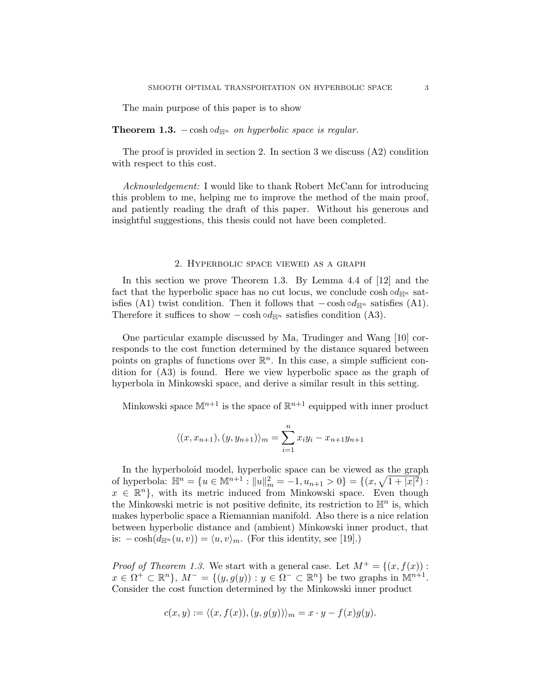The main purpose of this paper is to show

**Theorem 1.3.** – cosh ∘d<sub>Hn</sub> on hyperbolic space is regular.

The proof is provided in section 2. In section 3 we discuss  $(A2)$  condition with respect to this cost.

Acknowledgement: I would like to thank Robert McCann for introducing this problem to me, helping me to improve the method of the main proof, and patiently reading the draft of this paper. Without his generous and insightful suggestions, this thesis could not have been completed.

#### 2. Hyperbolic space viewed as a graph

In this section we prove Theorem 1.3. By Lemma 4.4 of [12] and the fact that the hyperbolic space has no cut locus, we conclude cosh  $\circ d_{\mathbb{H}^n}$  satisfies (A1) twist condition. Then it follows that  $-\cosh \circ d_{\mathbb{H}^n}$  satisfies (A1). Therefore it suffices to show  $-\cosh \circ d_{\mathbb{H}^n}$  satisfies condition (A3).

One particular example discussed by Ma, Trudinger and Wang [10] corresponds to the cost function determined by the distance squared between points on graphs of functions over  $\mathbb{R}^n$ . In this case, a simple sufficient condition for (A3) is found. Here we view hyperbolic space as the graph of hyperbola in Minkowski space, and derive a similar result in this setting.

Minkowski space  $\mathbb{M}^{n+1}$  is the space of  $\mathbb{R}^{n+1}$  equipped with inner product

$$
\langle (x, x_{n+1}), (y, y_{n+1}) \rangle_m = \sum_{i=1}^n x_i y_i - x_{n+1} y_{n+1}
$$

In the hyperboloid model, hyperbolic space can be viewed as the graph of hyperbola:  $\mathbb{H}^n = \{u \in \mathbb{M}^{n+1} : ||u||_m^2 = -1, u_{n+1} > 0\} = \{(x, \sqrt{1+|x|^2}) :$  $x \in \mathbb{R}^n$ , with its metric induced from Minkowski space. Even though the Minkowski metric is not positive definite, its restriction to  $\mathbb{H}^n$  is, which makes hyperbolic space a Riemannian manifold. Also there is a nice relation between hyperbolic distance and (ambient) Minkowski inner product, that is:  $-\cosh(d_{\mathbb{H}^n}(u, v)) = \langle u, v \rangle_m$ . (For this identity, see [19].)

*Proof of Theorem 1.3.* We start with a general case. Let  $M^+ = \{(x, f(x))$ :  $x \in \Omega^+ \subset \mathbb{R}^n$ ,  $M^- = \{(y, g(y)) : y \in \Omega^- \subset \mathbb{R}^n\}$  be two graphs in  $\mathbb{M}^{n+1}$ . Consider the cost function determined by the Minkowski inner product

$$
c(x,y) := \langle (x,f(x)), (y,g(y)) \rangle_m = x \cdot y - f(x)g(y).
$$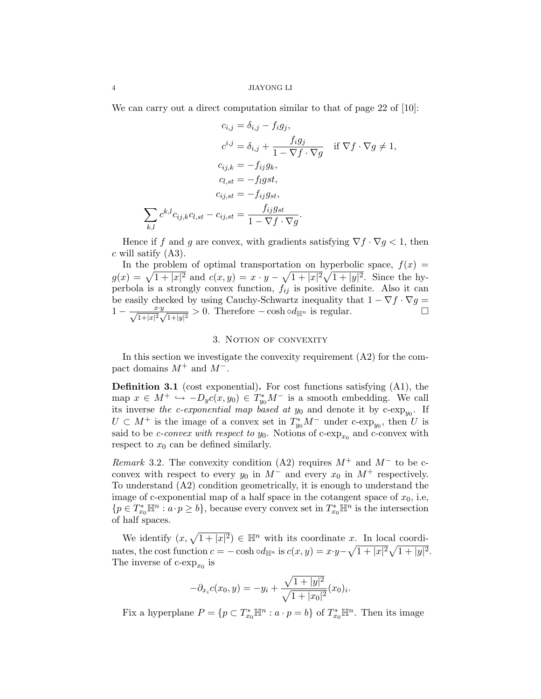We can carry out a direct computation similar to that of page 22 of [10]:

$$
c_{i,j} = \delta_{i,j} - f_i g_j,
$$
  
\n
$$
c^{i,j} = \delta_{i,j} + \frac{f_i g_j}{1 - \nabla f \cdot \nabla g} \quad \text{if } \nabla f \cdot \nabla g \neq 1,
$$
  
\n
$$
c_{i,j,k} = -f_{ij} g_k,
$$
  
\n
$$
c_{l,st} = -f_{l} gst,
$$
  
\n
$$
c_{i,j,st} = -f_{ij} g_{st},
$$
  
\n
$$
\sum_{k,l} c^{k,l} c_{ij,k} c_{l,st} - c_{ij,st} = \frac{f_{ij} g_{st}}{1 - \nabla f \cdot \nabla g}.
$$

Hence if f and g are convex, with gradients satisfying  $\nabla f \cdot \nabla g < 1$ , then  $c$  will satify  $(A3)$ .

In the problem of optimal transportation on hyperbolic space,  $f(x) =$  $g(x) = \sqrt{1 + |x|^2}$  and  $c(x, y) = x \cdot y - \sqrt{1 + |x|^2} \sqrt{1 + |y|^2}$ . Since the hyperbola is a strongly convex function,  $f_{ij}$  is positive definite. Also it can be easily checked by using Cauchy-Schwartz inequality that  $1 - \nabla f \cdot \nabla g =$  $1 - \frac{x \cdot y}{\sqrt{1 + |x|^2} \sqrt{1 + |y|^2}} > 0$ . Therefore – cosh ∘d<sub>Hn</sub> is regular.  $\Box$ 

### 3. NOTION OF CONVEXITY

In this section we investigate the convexity requirement (A2) for the compact domains  $M^+$  and  $M^-$ .

Definition 3.1 (cost exponential). For cost functions satisfying (A1), the map  $x \in M^+ \hookrightarrow -D_y c(x, y_0) \in T_{y_0}^* M^-$  is a smooth embedding. We call its inverse the *c*-exponential map based at  $y_0$  and denote it by c-exp<sub>y<sub>0</sub></sub>. If  $U \subset M^+$  is the image of a convex set in  $T_{y_0}^* M^-$  under c-exp<sub>y<sub>0</sub></sub>, then U is said to be *c*-convex with respect to  $y_0$ . Notions of c-exp<sub>x<sub>0</sub></sub> and c-convex with respect to  $x_0$  can be defined similarly.

Remark 3.2. The convexity condition (A2) requires  $M^+$  and  $M^-$  to be cconvex with respect to every  $y_0$  in  $M^-$  and every  $x_0$  in  $M^+$  respectively. To understand (A2) condition geometrically, it is enough to understand the image of c-exponential map of a half space in the cotangent space of  $x_0$ , i.e,  $\{p \in T_{x_0}^* \mathbb{H}^n : a \cdot p \ge b\}$ , because every convex set in  $T_{x_0}^* \mathbb{H}^n$  is the intersection of half spaces.

We identify  $(x, \sqrt{1 + |x|^2}) \in \mathbb{H}^n$  with its coordinate x. In local coordinates, the cost function  $c = -\cosh \circ d_{\mathbb{H}^n}$  is  $c(x, y) = x \cdot y - \sqrt{1 + |x|^2} \sqrt{1 + |y|^2}$ . The inverse of  $c$ -exp<sub> $x_0$ </sub> is

$$
-\partial_{x_i}c(x_0, y) = -y_i + \frac{\sqrt{1+|y|^2}}{\sqrt{1+|x_0|^2}}(x_0)_i.
$$

Fix a hyperplane  $P = \{p \subset T_{x_0}^* \mathbb{H}^n : a \cdot p = b\}$  of  $T_{x_0}^* \mathbb{H}^n$ . Then its image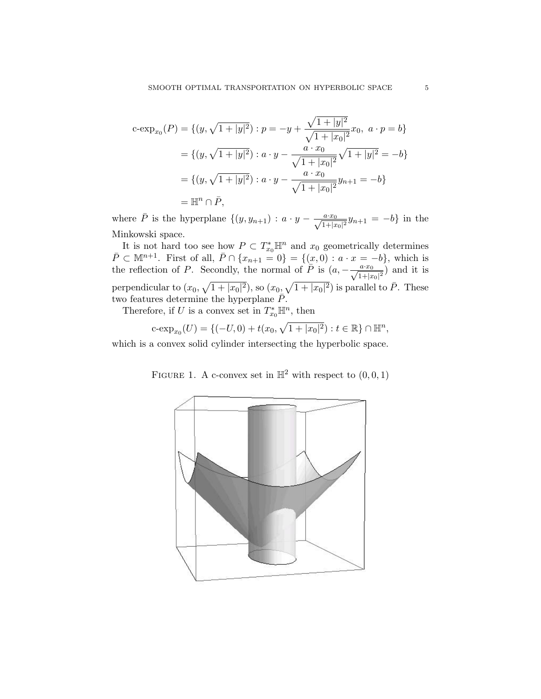$$
c\text{-exp}_{x_0}(P) = \{(y, \sqrt{1+|y|^2}) : p = -y + \frac{\sqrt{1+|y|^2}}{\sqrt{1+|x_0|^2}} x_0, \ a \cdot p = b\}
$$
  
=  $\{(y, \sqrt{1+|y|^2}) : a \cdot y - \frac{a \cdot x_0}{\sqrt{1+|x_0|^2}} \sqrt{1+|y|^2} = -b\}$   
=  $\{(y, \sqrt{1+|y|^2}) : a \cdot y - \frac{a \cdot x_0}{\sqrt{1+|x_0|^2}} y_{n+1} = -b\}$   
=  $\mathbb{H}^n \cap \overline{P},$ 

where  $\overline{P}$  is the hyperplane  $\{(y, y_{n+1}) : a \cdot y - \frac{a \cdot x_0}{\sqrt{1+|x_0|^2}}y_{n+1} = -b\}$  in the Minkowski space.

It is not hard too see how  $P \subset T_{x_0}^* \mathbb{H}^n$  and  $x_0$  geometrically determines  $\bar{P} \subset \mathbb{M}^{n+1}$ . First of all,  $\bar{P} \cap \{x_{n+1} = 0\} = \{(x, 0) : a \cdot x = -b\}$ , which is the reflection of P. Secondly, the normal of  $\overline{P}$  is  $(a, -\frac{a \cdot x_0}{\sqrt{1+|x_0|^2}})$  and it is perpendicular to  $(x_0, \sqrt{1+|x_0|^2})$ , so  $(x_0, \sqrt{1+|x_0|^2})$  is parallel to  $\overline{P}$ . These two features determine the hyperplane  $\bar{P}$ .

Therefore, if U is a convex set in  $T_{x_0}^* \mathbb{H}^n$ , then

$$
c\text{-exp}_{x_0}(U) = \{(-U,0) + t(x_0, \sqrt{1+|x_0|^2}) : t \in \mathbb{R}\} \cap \mathbb{H}^n,
$$

which is a convex solid cylinder intersecting the hyperbolic space.

FIGURE 1. A c-convex set in  $\mathbb{H}^2$  with respect to  $(0,0,1)$